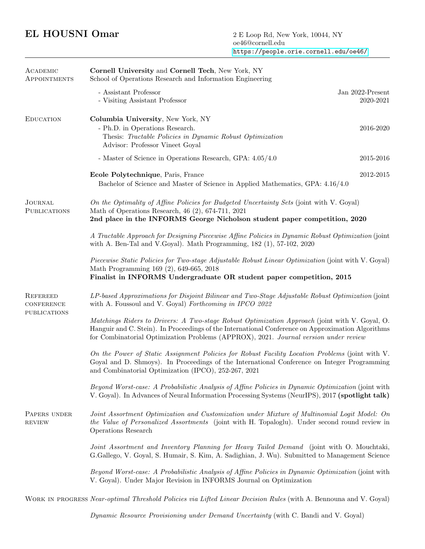## EL HOUSNI Omar 2 E Loop Rd, New York, 10044, NY

| ACADEMIC<br>APPOINTMENTS                             | Cornell University and Cornell Tech, New York, NY<br>School of Operations Research and Information Engineering                                                                                                                                                                              |                               |  |
|------------------------------------------------------|---------------------------------------------------------------------------------------------------------------------------------------------------------------------------------------------------------------------------------------------------------------------------------------------|-------------------------------|--|
|                                                      | - Assistant Professor<br>- Visiting Assistant Professor                                                                                                                                                                                                                                     | Jan 2022-Present<br>2020-2021 |  |
| <b>EDUCATION</b>                                     | Columbia University, New York, NY<br>- Ph.D. in Operations Research.<br>Thesis: Tractable Policies in Dynamic Robust Optimization<br>Advisor: Professor Vineet Goyal                                                                                                                        | 2016-2020                     |  |
|                                                      | - Master of Science in Operations Research, GPA: 4.05/4.0                                                                                                                                                                                                                                   | 2015-2016                     |  |
|                                                      | Ecole Polytechnique, Paris, France<br>Bachelor of Science and Master of Science in Applied Mathematics, GPA: 4.16/4.0                                                                                                                                                                       | 2012-2015                     |  |
| <b>JOURNAL</b><br><b>PUBLICATIONS</b>                | On the Optimality of Affine Policies for Budgeted Uncertainty Sets (joint with V. Goyal)<br>Math of Operations Research, 46 (2), 674-711, 2021<br>2nd place in the INFORMS George Nicholson student paper competition, 2020                                                                 |                               |  |
|                                                      | A Tractable Approach for Designing Piecewise Affine Policies in Dynamic Robust Optimization (joint<br>with A. Ben-Tal and V.Goyal). Math Programming, 182 (1), 57-102, 2020                                                                                                                 |                               |  |
|                                                      | Piecewise Static Policies for Two-stage Adjustable Robust Linear Optimization (joint with V. Goyal)<br>Math Programming 169 (2), 649-665, 2018<br>Finalist in INFORMS Undergraduate OR student paper competition, 2015                                                                      |                               |  |
| <b>REFEREED</b><br><b>CONFERENCE</b><br>PUBLICATIONS | LP-based Approximations for Disjoint Bilinear and Two-Stage Adjustable Robust Optimization (joint<br>with A. Foussoul and V. Goyal) Forthcoming in IPCO 2022                                                                                                                                |                               |  |
|                                                      | Matchings Riders to Drivers: A Two-stage Robust Optimization Approach (joint with V. Goyal, O.<br>Hanguir and C. Stein). In Proceedings of the International Conference on Approximation Algorithms<br>for Combinatorial Optimization Problems (APPROX), 2021. Journal version under review |                               |  |
|                                                      | On the Power of Static Assignment Policies for Robust Facility Location Problems (joint with V.<br>Goyal and D. Shmoys). In Proceedings of the International Conference on Integer Programming<br>and Combinatorial Optimization (IPCO), 252-267, 2021                                      |                               |  |
|                                                      | Beyond Worst-case: A Probabilistic Analysis of Affine Policies in Dynamic Optimization (joint with<br>V. Goyal). In Advances of Neural Information Processing Systems (NeurIPS), 2017 (spotlight talk)                                                                                      |                               |  |
| PAPERS UNDER<br><b>REVIEW</b>                        | Joint Assortment Optimization and Customization under Mixture of Multinomial Logit Model: On<br>the Value of Personalized Assortments (joint with H. Topaloglu). Under second round review in<br>Operations Research                                                                        |                               |  |
|                                                      | Joint Assortment and Inventory Planning for Heavy Tailed Demand (joint with O. Mouchtaki,<br>G.Gallego, V. Goyal, S. Humair, S. Kim, A. Sadighian, J. Wu). Submitted to Management Science                                                                                                  |                               |  |
|                                                      | Beyond Worst-case: A Probabilistic Analysis of Affine Policies in Dynamic Optimization (joint with<br>V. Goyal). Under Major Revision in INFORMS Journal on Optimization                                                                                                                    |                               |  |

Work in progress Near-optimal Threshold Policies via Lifted Linear Decision Rules (with A. Bennouna and V. Goyal)

Dynamic Resource Provisioning under Demand Uncertainty (with C. Bandi and V. Goyal)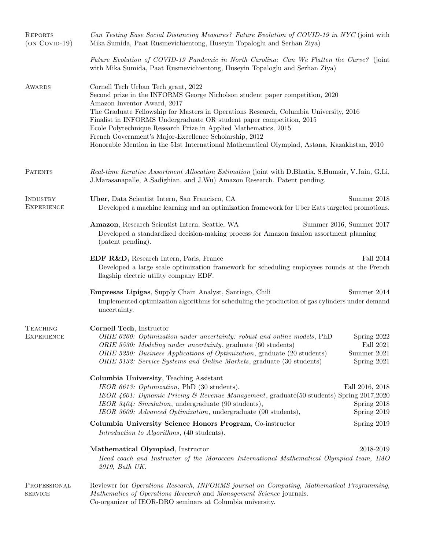| <b>REPORTS</b><br>$(ON COVID-19)$    | Can Testing Ease Social Distancing Measures? Future Evolution of COVID-19 in NYC (joint with<br>Mika Sumida, Paat Rusmevichientong, Huseyin Topaloglu and Serhan Ziya)                                                                                                                                                                                                                                                                                                                                                                          |                                                        |  |
|--------------------------------------|-------------------------------------------------------------------------------------------------------------------------------------------------------------------------------------------------------------------------------------------------------------------------------------------------------------------------------------------------------------------------------------------------------------------------------------------------------------------------------------------------------------------------------------------------|--------------------------------------------------------|--|
|                                      | Future Evolution of COVID-19 Pandemic in North Carolina: Can We Flatten the Curve? (joint<br>with Mika Sumida, Paat Rusmevichientong, Huseyin Topaloglu and Serhan Ziya)                                                                                                                                                                                                                                                                                                                                                                        |                                                        |  |
| AWARDS                               | Cornell Tech Urban Tech grant, 2022<br>Second prize in the INFORMS George Nicholson student paper competition, 2020<br>Amazon Inventor Award, 2017<br>The Graduate Fellowship for Masters in Operations Research, Columbia University, 2016<br>Finalist in INFORMS Undergraduate OR student paper competition, 2015<br>Ecole Polytechnique Research Prize in Applied Mathematics, 2015<br>French Government's Major-Excellence Scholarship, 2012<br>Honorable Mention in the 51st International Mathematical Olympiad, Astana, Kazakhstan, 2010 |                                                        |  |
| <b>PATENTS</b>                       | Real-time Iterative Assortment Allocation Estimation (joint with D.Bhatia, S.Humair, V.Jain, G.Li,<br>J.Marasanapalle, A.Sadighian, and J.Wu) Amazon Research. Patent pending.                                                                                                                                                                                                                                                                                                                                                                  |                                                        |  |
| INDUSTRY<br><b>EXPERIENCE</b>        | Uber, Data Scientist Intern, San Francisco, CA<br>Summer 2018<br>Developed a machine learning and an optimization framework for Uber Eats targeted promotions.                                                                                                                                                                                                                                                                                                                                                                                  |                                                        |  |
|                                      | Amazon, Research Scientist Intern, Seattle, WA<br>Developed a standardized decision-making process for Amazon fashion assortment planning<br>(patent pending).                                                                                                                                                                                                                                                                                                                                                                                  | Summer 2016, Summer 2017                               |  |
|                                      | EDF R&D, Research Intern, Paris, France<br>Developed a large scale optimization framework for scheduling employees rounds at the French<br>flagship electric utility company EDF.                                                                                                                                                                                                                                                                                                                                                               | <b>Fall 2014</b>                                       |  |
|                                      | <b>Empresas Lipigas</b> , Supply Chain Analyst, Santiago, Chili<br>Implemented optimization algorithms for scheduling the production of gas cylinders under demand<br>uncertainty.                                                                                                                                                                                                                                                                                                                                                              | Summer 2014                                            |  |
| <b>TEACHING</b><br><b>EXPERIENCE</b> | Cornell Tech, Instructor<br>ORIE 6360: Optimization under uncertainty: robust and online models, PhD<br>ORIE 5530: Modeling under uncertainty, graduate (60 students)<br>ORIE 5250: Business Applications of Optimization, graduate (20 students)<br>ORIE 5132: Service Systems and Online Markets, graduate (30 students)                                                                                                                                                                                                                      | Spring 2022<br>Fall 2021<br>Summer 2021<br>Spring 2021 |  |
|                                      | Columbia University, Teaching Assistant<br>IEOR 6613: Optimization, PhD (30 students).<br>IEOR 4601: Dynamic Pricing & Revenue Management, graduate(50 students) Spring 2017,2020<br>IEOR 3404: Simulation, undergraduate (90 students),<br>IEOR 3609: Advanced Optimization, undergraduate (90 students),                                                                                                                                                                                                                                      | Fall 2016, 2018<br>Spring 2018<br>Spring 2019          |  |
|                                      | Columbia University Science Honors Program, Co-instructor<br>Introduction to Algorithms, (40 students).                                                                                                                                                                                                                                                                                                                                                                                                                                         | Spring 2019                                            |  |
|                                      | Mathematical Olympiad, Instructor<br>Head coach and Instructor of the Moroccan International Mathematical Olympiad team, IMO<br>2019, Bath UK.                                                                                                                                                                                                                                                                                                                                                                                                  | 2018-2019                                              |  |
| PROFESSIONAL<br><b>SERVICE</b>       | Reviewer for Operations Research, INFORMS journal on Computing, Mathematical Programming,<br>Mathematics of Operations Research and Management Science journals.<br>Co-organizer of IEOR-DRO seminars at Columbia university.                                                                                                                                                                                                                                                                                                                   |                                                        |  |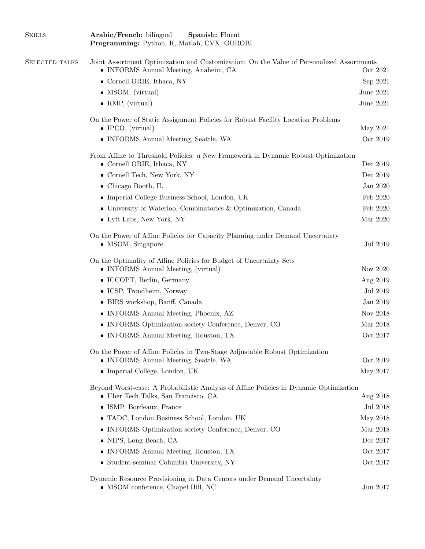| <b>SKILLS</b>         | Arabic/French: bilingual<br>Spanish: Fluent<br>Programming: Python, R, Matlab, CVX, GUROBI                                                       |                  |  |
|-----------------------|--------------------------------------------------------------------------------------------------------------------------------------------------|------------------|--|
| <b>SELECTED TALKS</b> | Joint Assortment Optimization and Customization: On the Value of Personalized Assortments<br>• INFORMS Annual Meeting, Anaheim, CA<br>Oct $2021$ |                  |  |
|                       | $\bullet$ Cornell ORIE, Ithaca, NY                                                                                                               | Sep 2021         |  |
|                       | • MSOM, (virtual)                                                                                                                                | June 2021        |  |
|                       | $\bullet$ RMP, (virtual)                                                                                                                         | <b>June 2021</b> |  |
|                       | On the Power of Static Assignment Policies for Robust Facility Location Problems<br>$\bullet$ IPCO, (virtual)                                    | May 2021         |  |
|                       | • INFORMS Annual Meeting, Seattle, WA                                                                                                            | Oct 2019         |  |
|                       | From Affine to Threshold Policies: a New Framework in Dynamic Robust Optimization<br>• Cornell ORIE, Ithaca, NY                                  | Dec 2019         |  |
|                       | • Cornell Tech, New York, NY                                                                                                                     | Dec 2019         |  |
|                       | $\bullet$ Chicago Booth, IL                                                                                                                      | Jan 2020         |  |
|                       | • Imperial College Business School, London, UK                                                                                                   | Feb 2020         |  |
|                       | • University of Waterloo, Combinatorics & Optimization, Canada                                                                                   | Feb 2020         |  |
|                       | • Lyft Labs, New York, NY                                                                                                                        | Mar 2020         |  |
|                       | On the Power of Affine Policies for Capacity Planning under Demand Uncertainty<br>$\bullet$ MSOM, Singapore                                      | Jul 2019         |  |
|                       | On the Optimality of Affine Policies for Budget of Uncertainty Sets<br>• INFORMS Annual Meeting, (virtual)                                       | Nov 2020         |  |
|                       | • ICCOPT, Berlin, Germany                                                                                                                        | Aug 2019         |  |
|                       | • ICSP, Trondheim, Norway                                                                                                                        | Jul 2019         |  |
|                       | • BIRS workshop, Banff, Canada                                                                                                                   | Jan 2019         |  |
|                       | • INFORMS Annual Meeting, Phoenix, AZ                                                                                                            | Nov 2018         |  |
|                       | • INFORMS Optimization society Conference, Denver, CO                                                                                            | Mar 2018         |  |
|                       | • INFORMS Annual Meeting, Houston, TX                                                                                                            | Oct 2017         |  |
|                       | On the Power of Affine Policies in Two-Stage Adjustable Robust Optimization<br>• INFORMS Annual Meeting, Seattle, WA                             | Oct 2019         |  |
|                       | • Imperial College, London, UK                                                                                                                   | May 2017         |  |
|                       | Beyond Worst-case: A Probabilistic Analysis of Affine Policies in Dynamic Optimization<br>• Uber Tech Talks, San Francisco, CA                   | Aug 2018         |  |
|                       | • ISMP, Bordeaux, France                                                                                                                         | Jul 2018         |  |
|                       | • TADC, London Business School, London, UK                                                                                                       | May 2018         |  |
|                       | • INFORMS Optimization society Conference, Denver, CO                                                                                            | Mar 2018         |  |
|                       | • NIPS, Long Beach, CA                                                                                                                           | Dec 2017         |  |
|                       | • INFORMS Annual Meeting, Houston, TX                                                                                                            | Oct 2017         |  |
|                       | • Student seminar Columbia University, NY                                                                                                        | Oct 2017         |  |
|                       | Dynamic Resource Provisioning in Data Centers under Demand Uncertainty<br>• MSOM conference, Chapel Hill, NC                                     | Jun 2017         |  |